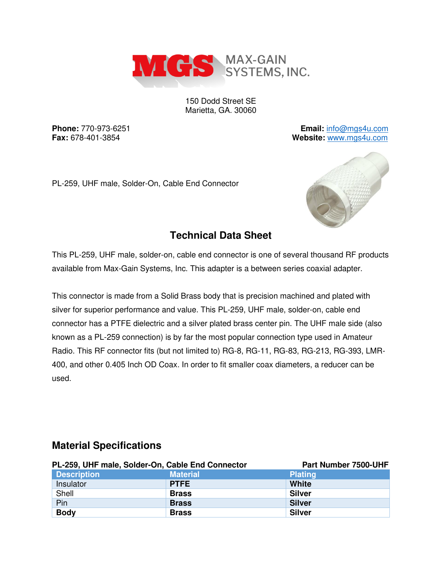

150 Dodd Street SE Marietta, GA. 30060

**Phone:** 770-973-6251 **Email:** [info@mgs4u.com](mailto:info@mgs4u.com) **Fax:** 678-401-3854 **Website:** [www.mgs4u.com](http://www.mgs4u.com/)

PL-259, UHF male, Solder-On, Cable End Connector



## **Technical Data Sheet**

This PL-259, UHF male, solder-on, cable end connector is one of several thousand RF products available from Max-Gain Systems, Inc. This adapter is a between series coaxial adapter.

This connector is made from a Solid Brass body that is precision machined and plated with silver for superior performance and value. This PL-259, UHF male, solder-on, cable end connector has a PTFE dielectric and a silver plated brass center pin. The UHF male side (also known as a PL-259 connection) is by far the most popular connection type used in Amateur Radio. This RF connector fits (but not limited to) RG-8, RG-11, RG-83, RG-213, RG-393, LMR-400, and other 0.405 Inch OD Coax. In order to fit smaller coax diameters, a reducer can be used.

### PL-259, UHF male, Solder-On, Cable End Connector Part Number 7500-UHF **Description Material Plating Plating Plating According According According Plating Plating** Insulator **PTFE White**  Shell **Brass** Brass Shell Silver Pin **Brass Silver Brass Silver Body** Brass Silver

### **Material Specifications**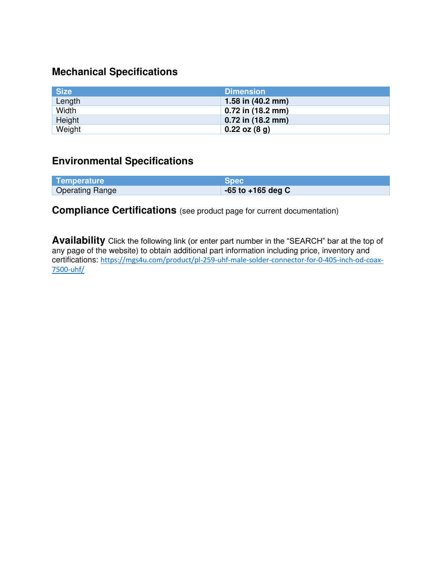### **Mechanical Specifications**

| <b>Size</b> | <b>Dimension</b>            |
|-------------|-----------------------------|
| Length      | 1.58 in $(40.2 \text{ mm})$ |
| Width       | 0.72 in (18.2 mm)           |
| Height      | $0.72$ in (18.2 mm)         |
| Weight      | $0.22$ oz $(8q)$            |

## **Environmental Specifications**

| Temperature            | <b>Spec</b>           |
|------------------------|-----------------------|
| <b>Operating Range</b> | $-65$ to $+165$ deg C |

**Compliance Certifications** (see product page for current documentation)

**Availability** Click the following link (or enter part number in the "SEARCH" bar at the top of any page of the website) to obtain additional part information including price, inventory and certifications: [https://mgs4u.com/product/pl-259-uhf-male-solder-connector-for-0-405-inch-od-coax-](https://mgs4u.com/product/pl-259-uhf-male-solder-connector-for-0-405-inch-od-coax-7500-uhf/)[7500-uhf/](https://mgs4u.com/product/pl-259-uhf-male-solder-connector-for-0-405-inch-od-coax-7500-uhf/)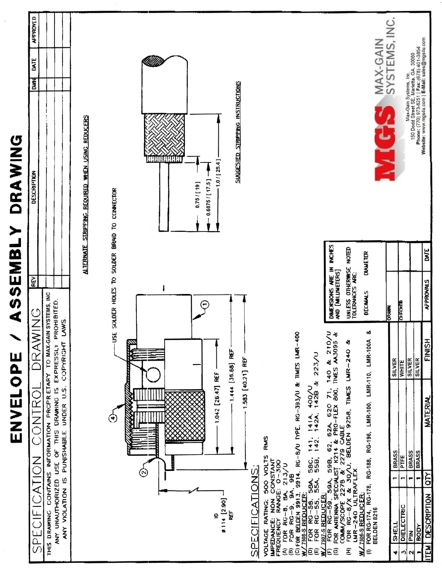| ֚֘֝֬                                              |
|---------------------------------------------------|
| י<br>į<br>Ì<br>l<br>I<br>į<br>l                   |
| ĺ<br>I<br>٠                                       |
| I<br>$\overline{\phantom{a}}$<br>I<br>I<br>ĺ<br>١ |

|                    |                                                                                                                                     |              |                                                                                                                                                                                                  |                                                      | REV                                           |                  |                                                                                                                                                                                           |               |
|--------------------|-------------------------------------------------------------------------------------------------------------------------------------|--------------|--------------------------------------------------------------------------------------------------------------------------------------------------------------------------------------------------|------------------------------------------------------|-----------------------------------------------|------------------|-------------------------------------------------------------------------------------------------------------------------------------------------------------------------------------------|---------------|
|                    | ICATION<br>SPECIF                                                                                                                   |              | CONTR                                                                                                                                                                                            | DRAWING                                              |                                               |                  | DATE<br><b>Dwn</b><br>DESCRIPTION                                                                                                                                                         | APPROVED      |
|                    | ANY VIOLATION IS PUNISHABLE<br>CONTAINS<br>THIS DRAWING                                                                             |              | ANY UNAUTHORIZED USE OF THIS DRAWING IS EXPRESSLY PROHIBITED.<br><b>PRCPRETARY</b><br>UNDER U.S.<br><b>INFORMATION</b>                                                                           | TO MAX-GAIN SYSTEMS, INC<br><b>LAWS</b><br>COPYRIGHT |                                               |                  |                                                                                                                                                                                           |               |
|                    |                                                                                                                                     |              |                                                                                                                                                                                                  |                                                      |                                               |                  |                                                                                                                                                                                           |               |
|                    |                                                                                                                                     |              |                                                                                                                                                                                                  |                                                      |                                               |                  |                                                                                                                                                                                           |               |
|                    |                                                                                                                                     |              |                                                                                                                                                                                                  |                                                      |                                               | <b>ALTERNATE</b> | STRIPPING REQUIRED WHEN USING REDUCERS                                                                                                                                                    |               |
|                    |                                                                                                                                     |              |                                                                                                                                                                                                  |                                                      |                                               |                  |                                                                                                                                                                                           |               |
|                    |                                                                                                                                     |              | $\ddot{\phantom{0}}$                                                                                                                                                                             |                                                      |                                               |                  | USE SOLDER HOLES TO SOLDER BRAID TO CONNECTOR                                                                                                                                             |               |
|                    |                                                                                                                                     |              |                                                                                                                                                                                                  |                                                      |                                               |                  |                                                                                                                                                                                           |               |
|                    |                                                                                                                                     |              |                                                                                                                                                                                                  | Danaa                                                |                                               |                  |                                                                                                                                                                                           |               |
|                    |                                                                                                                                     |              |                                                                                                                                                                                                  |                                                      |                                               |                  |                                                                                                                                                                                           |               |
|                    |                                                                                                                                     |              |                                                                                                                                                                                                  |                                                      |                                               |                  |                                                                                                                                                                                           |               |
|                    |                                                                                                                                     |              |                                                                                                                                                                                                  |                                                      |                                               |                  | <b>HAAAH</b>                                                                                                                                                                              |               |
|                    |                                                                                                                                     |              |                                                                                                                                                                                                  |                                                      |                                               |                  |                                                                                                                                                                                           |               |
|                    |                                                                                                                                     |              |                                                                                                                                                                                                  |                                                      |                                               |                  |                                                                                                                                                                                           |               |
|                    |                                                                                                                                     |              |                                                                                                                                                                                                  |                                                      | $\blacksquare$                                |                  | $0.75/19$ ]                                                                                                                                                                               |               |
|                    | e                                                                                                                                   |              | 1.042 [26.47] REF                                                                                                                                                                                |                                                      |                                               |                  | $0.6875 / 17.5$ ]                                                                                                                                                                         |               |
|                    | \$114 [2.90]                                                                                                                        |              |                                                                                                                                                                                                  |                                                      |                                               |                  | 1.0 / [25.4]                                                                                                                                                                              |               |
|                    | R۴                                                                                                                                  |              |                                                                                                                                                                                                  | 1.444 [35.68] REF                                    |                                               |                  | SUGGESTED STRIPPING INSTRUCTIONS                                                                                                                                                          |               |
|                    |                                                                                                                                     |              | 1.583 [40.21] REF                                                                                                                                                                                |                                                      |                                               |                  |                                                                                                                                                                                           |               |
|                    | SPECIFICATIONS:                                                                                                                     |              |                                                                                                                                                                                                  |                                                      |                                               |                  |                                                                                                                                                                                           |               |
|                    | VOLTAGE                                                                                                                             |              | <b>RMS</b>                                                                                                                                                                                       |                                                      |                                               |                  |                                                                                                                                                                                           |               |
|                    | RATING: 500 VOLTS<br>JE: NON CONSTANT<br>IMPEDANCE: NON CONSTANT<br>FREQUENCY RANGE: 0-300                                          |              |                                                                                                                                                                                                  |                                                      |                                               |                  |                                                                                                                                                                                           |               |
|                    |                                                                                                                                     |              |                                                                                                                                                                                                  |                                                      |                                               |                  |                                                                                                                                                                                           |               |
|                    | 9A.                                                                                                                                 | 213 / U      | 9914. RG-B/U TYPE. RG-393/U & TIMES LMR-400                                                                                                                                                      |                                                      |                                               |                  |                                                                                                                                                                                           |               |
|                    |                                                                                                                                     |              |                                                                                                                                                                                                  |                                                      |                                               |                  |                                                                                                                                                                                           |               |
|                    | (A) FOR $RG-8$ , $3A$ , $(B)$ FOR $RG-9$ , $3A$ , $(C)$ FOR BELICK $3913$ , $3$ $M/7508.5$ REQUCER; $(D)$ FOR $RG-55$ , $55$ , $55$ | 584.<br>554. | 58C, 141, 141A, 400/U<br>55B, 142, 142A, 142B &                                                                                                                                                  | 223/U                                                |                                               |                  |                                                                                                                                                                                           |               |
| ¥<br>E             | <b>1507-S REDUCER:</b><br>FOR RG-59,                                                                                                |              |                                                                                                                                                                                                  | 210/                                                 |                                               |                  |                                                                                                                                                                                           |               |
| ම                  |                                                                                                                                     |              |                                                                                                                                                                                                  | $\frac{1}{2}$                                        | <b>DIMENSIONS ARE IN</b><br>AND [MILLIMETERS] | <b>INCHES</b>    |                                                                                                                                                                                           |               |
| £                  |                                                                                                                                     |              | FOR RG-59, 59A, 59B, 62, 62A, 620 71, 140 & 210,<br>FOR ANIENNA SPECIALIST K214 & PRO-FLEX 800, TIMES AA3095<br>COMM/SCOPE 2278 & 2279 CABLE<br>FOR RG-8/X & 30/U, BELDEN 9258, TIMES LIMR-240 & |                                                      | UNLESS OTHERWISE NOTED<br>TOLERANCES ARE:     |                  |                                                                                                                                                                                           |               |
| ¥                  | <b>ULTRAFLEX</b><br>506-S REDUCER<br>LMR-240                                                                                        |              |                                                                                                                                                                                                  |                                                      |                                               |                  |                                                                                                                                                                                           |               |
| $\in$              |                                                                                                                                     |              | FOR RG-174, RG-178, RG-188, RG-196, LMR-100, LMR-110, LMR-100A                                                                                                                                   | య                                                    | DECIMALS                                      | <b>DIAMETER</b>  |                                                                                                                                                                                           |               |
|                    | BELDEN 8216                                                                                                                         |              |                                                                                                                                                                                                  |                                                      |                                               |                  | MAX-GAIN<br>1/16                                                                                                                                                                          |               |
| 4                  | <b>SHELL</b>                                                                                                                        | ٣            | <b>BRASS</b>                                                                                                                                                                                     | <b>SILVER</b>                                        | <b>DRAWN</b>                                  |                  |                                                                                                                                                                                           | SYSTEMS, INC. |
| $\mathbf{\hat{z}}$ | DIELECTRIC                                                                                                                          | Ţ            | PTFE                                                                                                                                                                                             | <b>WHITE</b>                                         | <b>C-FCKED</b>                                |                  |                                                                                                                                                                                           |               |
| 2                  | PIN                                                                                                                                 | ٣            | <b>BRASS</b>                                                                                                                                                                                     | <b>SILVER</b>                                        |                                               |                  |                                                                                                                                                                                           |               |
| ÷                  | BODY                                                                                                                                | ۳            | <b>BRASS</b>                                                                                                                                                                                     | <b>SILVER</b>                                        |                                               |                  | Max-Gain Systems, Inc.<br>150 Dodd Street SE, Marietta, GA. 30060<br><b>Phone:</b> (770) 973-6251   Fax: (678) 401-3854<br><b>Website:</b> www.mgs4u.com   <b>E-Mail:</b> sales@mgs4u.com |               |
| <b>ITEM</b>        | DESCRIPTION                                                                                                                         | loTY         | MATERIAL                                                                                                                                                                                         | FINISH                                               | <b>AFPROVALS</b>                              | DATE             |                                                                                                                                                                                           |               |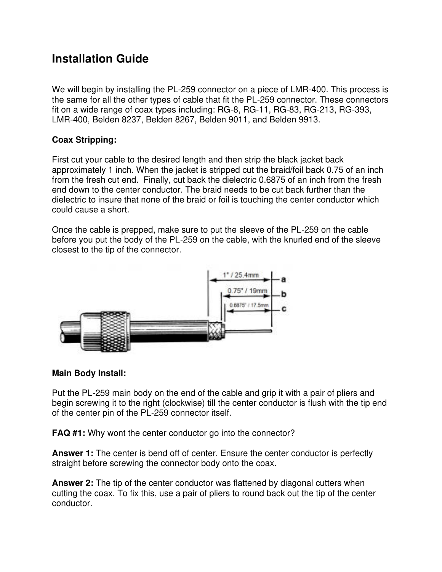# **Installation Guide**

We will begin by installing the PL-259 connector on a piece of LMR-400. This process is the same for all the other types of cable that fit the PL-259 connector. These connectors fit on a wide range of coax types including: RG-8, RG-11, RG-83, RG-213, RG-393, LMR-400, Belden 8237, Belden 8267, Belden 9011, and Belden 9913.

### **Coax Stripping:**

First cut your cable to the desired length and then strip the black jacket back approximately 1 inch. When the jacket is stripped cut the braid/foil back 0.75 of an inch from the fresh cut end. Finally, cut back the dielectric 0.6875 of an inch from the fresh end down to the center conductor. The braid needs to be cut back further than the dielectric to insure that none of the braid or foil is touching the center conductor which could cause a short.

Once the cable is prepped, make sure to put the sleeve of the PL-259 on the cable before you put the body of the PL-259 on the cable, with the knurled end of the sleeve closest to the tip of the connector.



### **Main Body Install:**

Put the PL-259 main body on the end of the cable and grip it with a pair of pliers and begin screwing it to the right (clockwise) till the center conductor is flush with the tip end of the center pin of the PL-259 connector itself.

**FAQ #1:** Why wont the center conductor go into the connector?

**Answer 1:** The center is bend off of center. Ensure the center conductor is perfectly straight before screwing the connector body onto the coax.

**Answer 2:** The tip of the center conductor was flattened by diagonal cutters when cutting the coax. To fix this, use a pair of pliers to round back out the tip of the center conductor.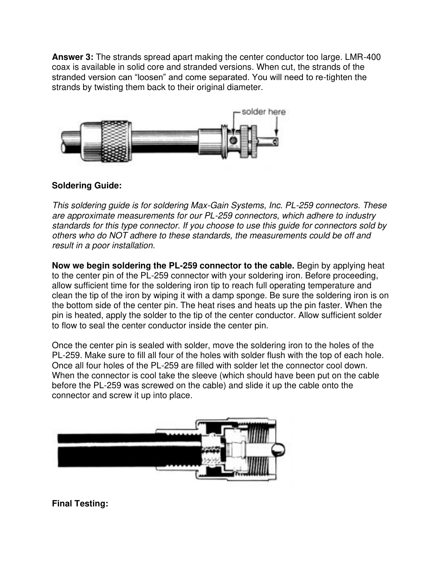**Answer 3:** The strands spread apart making the center conductor too large. LMR-400 coax is available in solid core and stranded versions. When cut, the strands of the stranded version can "loosen" and come separated. You will need to re-tighten the strands by twisting them back to their original diameter.



### **Soldering Guide:**

This soldering guide is for soldering Max-Gain Systems, Inc. PL-259 connectors. These are approximate measurements for our PL-259 connectors, which adhere to industry standards for this type connector. If you choose to use this guide for connectors sold by others who do NOT adhere to these standards, the measurements could be off and result in a poor installation.

**Now we begin soldering the PL-259 connector to the cable.** Begin by applying heat to the center pin of the PL-259 connector with your soldering iron. Before proceeding, allow sufficient time for the soldering iron tip to reach full operating temperature and clean the tip of the iron by wiping it with a damp sponge. Be sure the soldering iron is on the bottom side of the center pin. The heat rises and heats up the pin faster. When the pin is heated, apply the solder to the tip of the center conductor. Allow sufficient solder to flow to seal the center conductor inside the center pin.

Once the center pin is sealed with solder, move the soldering iron to the holes of the PL-259. Make sure to fill all four of the holes with solder flush with the top of each hole. Once all four holes of the PL-259 are filled with solder let the connector cool down. When the connector is cool take the sleeve (which should have been put on the cable before the PL-259 was screwed on the cable) and slide it up the cable onto the connector and screw it up into place.



**Final Testing:**